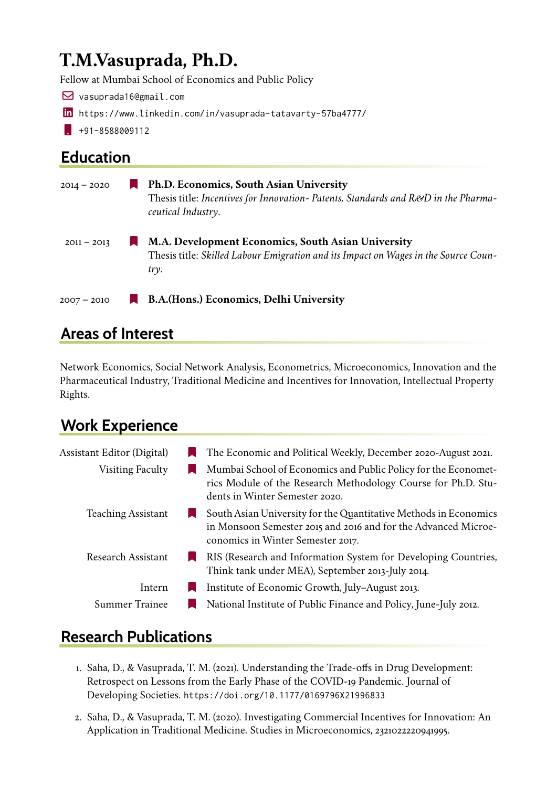# **T.M.Vasuprada, Ph.D.**

Fellow at Mumbai School of Economics and Public Policy

- £ vasuprada16@gmail.com
- in <https://www.linkedin.com/in/vasuprada-tatavarty-57ba4777/>
- $\bullet$  +91-8588009112

### **Education**

| $2014 - 2020$ | Ph.D. Economics, South Asian University<br>Thesis title: Incentives for Innovation- Patents, Standards and R&D in the Pharma-<br>ceutical Industry. |
|---------------|-----------------------------------------------------------------------------------------------------------------------------------------------------|
| $2011 - 2013$ | M.A. Development Economics, South Asian University<br>Thesis title: Skilled Labour Emigration and its Impact on Wages in the Source Coun-<br>try.   |
| $2007 - 2010$ | B.A. (Hons.) Economics, Delhi University                                                                                                            |

### **Areas of Interest**

Network Economics, Social Network Analysis, Econometrics, Microeconomics, Innovation and the Pharmaceutical Industry, Traditional Medicine and Incentives for Innovation, Intellectual Property Rights.

# **Work Experience**

| Assistant Editor (Digital) | The Economic and Political Weekly, December 2020-August 2021.                                                                                                           |
|----------------------------|-------------------------------------------------------------------------------------------------------------------------------------------------------------------------|
| <b>Visiting Faculty</b>    | Mumbai School of Economics and Public Policy for the Economet-<br>rics Module of the Research Methodology Course for Ph.D. Stu-<br>dents in Winter Semester 2020.       |
| <b>Teaching Assistant</b>  | South Asian University for the Quantitative Methods in Economics<br>in Monsoon Semester 2015 and 2016 and for the Advanced Microe-<br>conomics in Winter Semester 2017. |
| <b>Research Assistant</b>  | RIS (Research and Information System for Developing Countries,<br>Think tank under MEA), September 2013-July 2014.                                                      |
| Intern                     | Institute of Economic Growth, July-August 2013.                                                                                                                         |
| <b>Summer Trainee</b>      | National Institute of Public Finance and Policy, June-July 2012.                                                                                                        |

### **Research Publications**

- 1. Saha, D., & Vasuprada, T. M. (2021). Understanding the Trade-offs in Drug Development: Retrospect on Lessons from the Early Phase of the COVID-19 Pandemic. Journal of Developing Societies. <https://doi.org/10.1177/0169796X21996833>
- 2. Saha, D., & Vasuprada, T. M. (2020). Investigating Commercial Incentives for Innovation: An Application in Traditional Medicine. Studies in Microeconomics, 2321022220941995.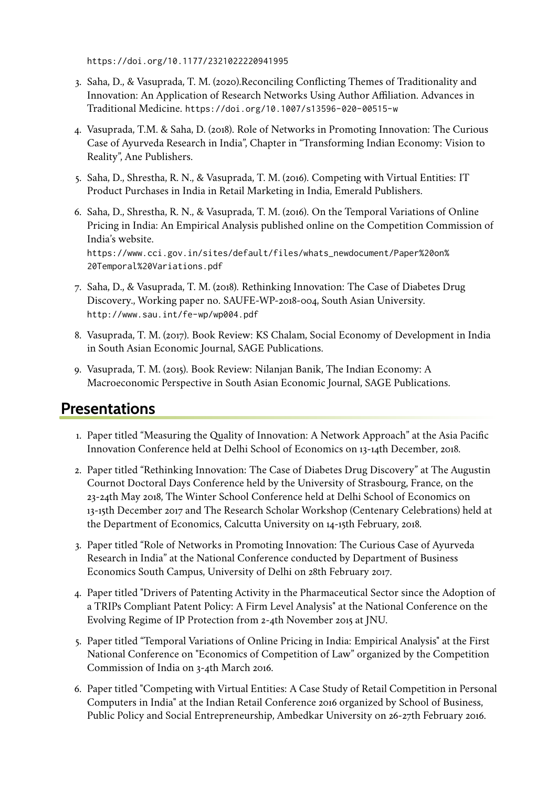<https://doi.org/10.1177/2321022220941995>

- 3. Saha, D., & Vasuprada, T. M. (2020).Reconciling Conflicting Themes of Traditionality and Innovation: An Application of Research Networks Using Author Affiliation. Advances in Traditional Medicine. <https://doi.org/10.1007/s13596-020-00515-w>
- 4. Vasuprada, T.M. & Saha, D. (2018). Role of Networks in Promoting Innovation: The Curious Case of Ayurveda Research in India", Chapter in "Transforming Indian Economy: Vision to Reality", Ane Publishers.
- 5. Saha, D., Shrestha, R. N., & Vasuprada, T. M. (2016). Competing with Virtual Entities: IT Product Purchases in India in Retail Marketing in India, Emerald Publishers.
- 6. Saha, D., Shrestha, R. N., & Vasuprada, T. M. (2016). On the Temporal Variations of Online Pricing in India: An Empirical Analysis published online on the Competition Commission of India's website. [https://www.cci.gov.in/sites/default/files/whats\\_newdocument/Paper%20on%](https://www.cci.gov.in/sites/default/files/whats_newdocument/Paper%20on%20Temporal%20Variations.pdf) [20Temporal%20Variations.pdf](https://www.cci.gov.in/sites/default/files/whats_newdocument/Paper%20on%20Temporal%20Variations.pdf)
- 7. Saha, D., & Vasuprada, T. M. (2018). Rethinking Innovation: The Case of Diabetes Drug Discovery., Working paper no. SAUFE-WP-2018-004, South Asian University. <http://www.sau.int/fe-wp/wp004.pdf>
- 8. Vasuprada, T. M. (2017). Book Review: KS Chalam, Social Economy of Development in India in South Asian Economic Journal, SAGE Publications.
- 9. Vasuprada, T. M. (2015). Book Review: Nilanjan Banik, The Indian Economy: A Macroeconomic Perspective in South Asian Economic Journal, SAGE Publications.

#### **Presentations**

- 1. Paper titled "Measuring the Quality of Innovation: A Network Approach" at the Asia Pacific Innovation Conference held at Delhi School of Economics on 13-14th December, 2018.
- 2. Paper titled "Rethinking Innovation: The Case of Diabetes Drug Discovery" at The Augustin Cournot Doctoral Days Conference held by the University of Strasbourg, France, on the 23-24th May 2018, The Winter School Conference held at Delhi School of Economics on 13-15th December 2017 and The Research Scholar Workshop (Centenary Celebrations) held at the Department of Economics, Calcutta University on 14-15th February, 2018.
- 3. Paper titled "Role of Networks in Promoting Innovation: The Curious Case of Ayurveda Research in India" at the National Conference conducted by Department of Business Economics South Campus, University of Delhi on 28th February 2017.
- 4. Paper titled "Drivers of Patenting Activity in the Pharmaceutical Sector since the Adoption of a TRIPs Compliant Patent Policy: A Firm Level Analysis" at the National Conference on the Evolving Regime of IP Protection from 2-4th November 2015 at JNU.
- 5. Paper titled "Temporal Variations of Online Pricing in India: Empirical Analysis" at the First National Conference on "Economics of Competition of Law" organized by the Competition Commission of India on 3-4th March 2016.
- 6. Paper titled "Competing with Virtual Entities: A Case Study of Retail Competition in Personal Computers in India" at the Indian Retail Conference 2016 organized by School of Business, Public Policy and Social Entrepreneurship, Ambedkar University on 26-27th February 2016.